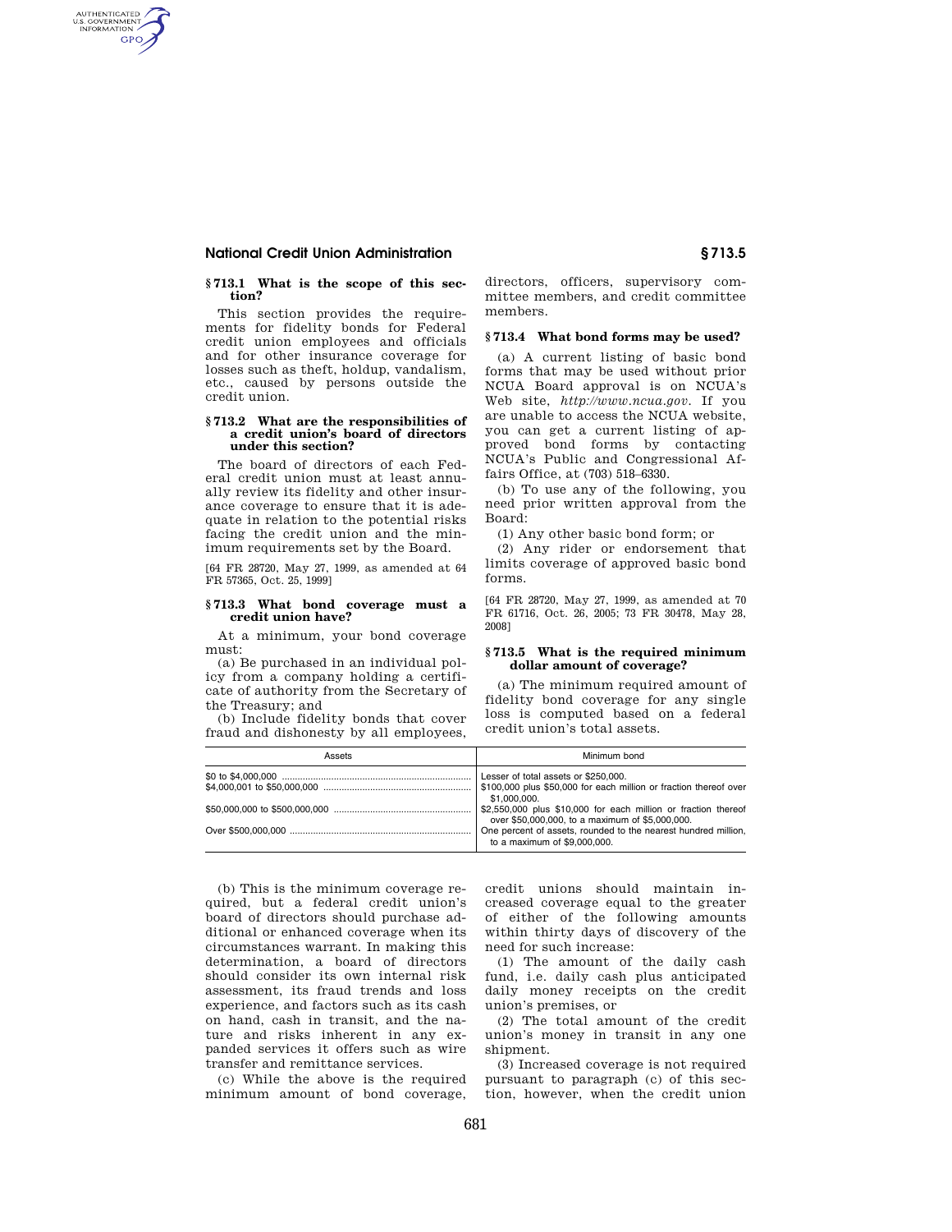# **National Credit Union Administration § 713.5**

AUTHENTICATED<br>U.S. GOVERNMENT<br>INFORMATION GPO

### **§ 713.1 What is the scope of this section?**

This section provides the requirements for fidelity bonds for Federal credit union employees and officials and for other insurance coverage for losses such as theft, holdup, vandalism, etc., caused by persons outside the credit union.

#### **§ 713.2 What are the responsibilities of a credit union's board of directors under this section?**

The board of directors of each Federal credit union must at least annually review its fidelity and other insurance coverage to ensure that it is adequate in relation to the potential risks facing the credit union and the minimum requirements set by the Board.

[64 FR 28720, May 27, 1999, as amended at 64 FR 57365, Oct. 25, 1999]

## **§ 713.3 What bond coverage must a credit union have?**

At a minimum, your bond coverage must:

(a) Be purchased in an individual policy from a company holding a certificate of authority from the Secretary of the Treasury; and

(b) Include fidelity bonds that cover fraud and dishonesty by all employees,

directors, officers, supervisory committee members, and credit committee members.

## **§ 713.4 What bond forms may be used?**

(a) A current listing of basic bond forms that may be used without prior NCUA Board approval is on NCUA's Web site, *http://www.ncua.gov.* If you are unable to access the NCUA website, you can get a current listing of approved bond forms by contacting NCUA's Public and Congressional Affairs Office, at (703) 518–6330.

(b) To use any of the following, you need prior written approval from the Board:

(1) Any other basic bond form; or

(2) Any rider or endorsement that limits coverage of approved basic bond forms.

[64 FR 28720, May 27, 1999, as amended at 70 FR 61716, Oct. 26, 2005; 73 FR 30478, May 28, 2008]

### **§ 713.5 What is the required minimum dollar amount of coverage?**

(a) The minimum required amount of fidelity bond coverage for any single loss is computed based on a federal credit union's total assets.

| Assets | Minimum bond                                                                                                              |
|--------|---------------------------------------------------------------------------------------------------------------------------|
|        | Lesser of total assets or \$250,000.<br>\$100,000 plus \$50,000 for each million or fraction thereof over<br>\$1,000,000. |
|        | \$2,550,000 plus \$10,000 for each million or fraction thereof<br>over \$50,000,000, to a maximum of \$5,000,000.         |
|        | One percent of assets, rounded to the nearest hundred million,<br>to a maximum of \$9,000,000.                            |

(b) This is the minimum coverage required, but a federal credit union's board of directors should purchase additional or enhanced coverage when its circumstances warrant. In making this determination, a board of directors should consider its own internal risk assessment, its fraud trends and loss experience, and factors such as its cash on hand, cash in transit, and the nature and risks inherent in any expanded services it offers such as wire transfer and remittance services.

(c) While the above is the required minimum amount of bond coverage, credit unions should maintain increased coverage equal to the greater of either of the following amounts within thirty days of discovery of the need for such increase:

(1) The amount of the daily cash fund, i.e. daily cash plus anticipated daily money receipts on the credit union's premises, or

(2) The total amount of the credit union's money in transit in any one shipment.

(3) Increased coverage is not required pursuant to paragraph (c) of this section, however, when the credit union